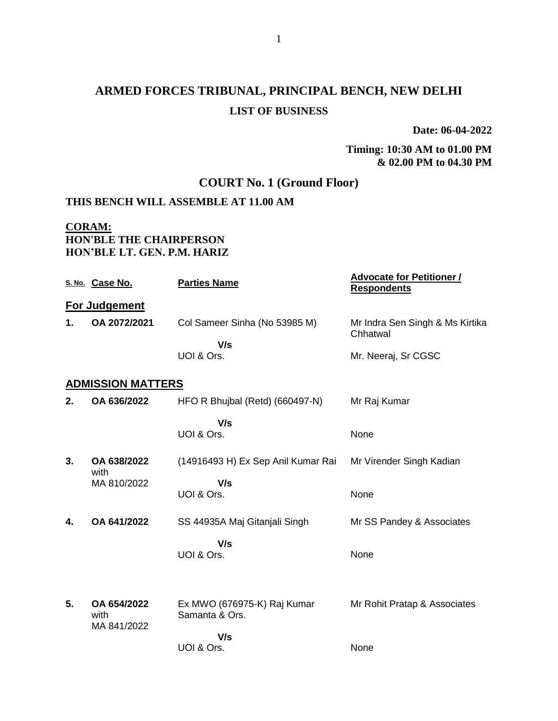# **ARMED FORCES TRIBUNAL, PRINCIPAL BENCH, NEW DELHI LIST OF BUSINESS**

**Date: 06-04-2022**

#### **Timing: 10:30 AM to 01.00 PM & 02.00 PM to 04.30 PM**

## **COURT No. 1 (Ground Floor)**

### **THIS BENCH WILL ASSEMBLE AT 11.00 AM**

### **CORAM: HON'BLE THE CHAIRPERSON HON'BLE LT. GEN. P.M. HARIZ**

|    | S. No. Case No.          | <b>Parties Name</b>                           | <b>Advocate for Petitioner /</b><br><b>Respondents</b> |
|----|--------------------------|-----------------------------------------------|--------------------------------------------------------|
|    | For Judgement            |                                               |                                                        |
| 1. | OA 2072/2021             | Col Sameer Sinha (No 53985 M)                 | Mr Indra Sen Singh & Ms Kirtika<br>Chhatwal            |
|    |                          | V/s                                           |                                                        |
|    |                          | UOI & Ors.                                    | Mr. Neeraj, Sr CGSC                                    |
|    | <b>ADMISSION MATTERS</b> |                                               |                                                        |
| 2. | OA 636/2022              | HFO R Bhujbal (Retd) (660497-N)               | Mr Raj Kumar                                           |
|    |                          | V/s                                           |                                                        |
|    |                          | UOI & Ors.                                    | None                                                   |
|    |                          |                                               |                                                        |
| 3. | OA 638/2022<br>with      | (14916493 H) Ex Sep Anil Kumar Rai            | Mr Virender Singh Kadian                               |
|    | MA 810/2022              | V/s                                           |                                                        |
|    |                          | UOI & Ors.                                    | None                                                   |
| 4. | OA 641/2022              | SS 44935A Maj Gitanjali Singh                 | Mr SS Pandey & Associates                              |
|    |                          | V/s                                           |                                                        |
|    |                          | UOI & Ors.                                    | None                                                   |
|    |                          |                                               |                                                        |
|    |                          |                                               |                                                        |
| 5. | OA 654/2022<br>with      | Ex MWO (676975-K) Raj Kumar<br>Samanta & Ors. | Mr Rohit Pratap & Associates                           |
|    | MA 841/2022              | V/s                                           |                                                        |
|    |                          | UOI & Ors.                                    | None                                                   |
|    |                          |                                               |                                                        |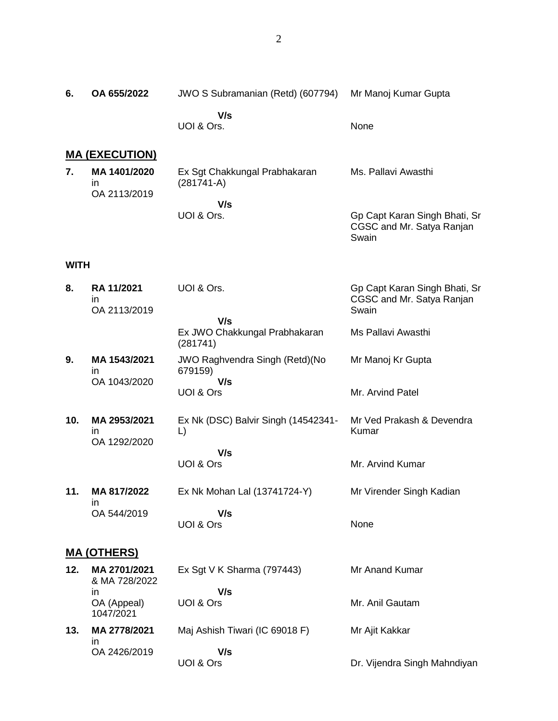Mr Manoj Kumar Gupta

None

**6. OA 655/2022** JWO S Subramanian (Retd) (607794)

UOI & Ors.

 **V/s**

|                    | <u>MA (EXECUTION)</u>                    |                                                  |                                                                     |
|--------------------|------------------------------------------|--------------------------------------------------|---------------------------------------------------------------------|
| 7.                 | MA 1401/2020<br>ın<br>OA 2113/2019       | Ex Sgt Chakkungal Prabhakaran<br>$(281741-A)$    | Ms. Pallavi Awasthi                                                 |
|                    |                                          | V/s<br>UOI & Ors.                                | Gp Capt Karan Singh Bhati, Sr<br>CGSC and Mr. Satya Ranjan<br>Swain |
| <b>WITH</b>        |                                          |                                                  |                                                                     |
| 8.                 | <b>RA 11/2021</b><br>in.<br>OA 2113/2019 | UOI & Ors.                                       | Gp Capt Karan Singh Bhati, Sr<br>CGSC and Mr. Satya Ranjan<br>Swain |
|                    |                                          | V/s<br>Ex JWO Chakkungal Prabhakaran<br>(281741) | Ms Pallavi Awasthi                                                  |
| 9.                 | MA 1543/2021<br>in                       | JWO Raghvendra Singh (Retd)(No<br>679159)        | Mr Manoj Kr Gupta                                                   |
|                    | OA 1043/2020                             | V/s<br>UOI & Ors                                 | Mr. Arvind Patel                                                    |
| 10.                | MA 2953/2021<br>in.<br>OA 1292/2020      | Ex Nk (DSC) Balvir Singh (14542341-<br>L)        | Mr Ved Prakash & Devendra<br>Kumar                                  |
|                    |                                          | V/s<br>UOI & Ors                                 | Mr. Arvind Kumar                                                    |
| 11.                | MA 817/2022<br>in                        | Ex Nk Mohan Lal (13741724-Y)                     | Mr Virender Singh Kadian                                            |
|                    | OA 544/2019                              | V/s<br>UOI & Ors                                 | None                                                                |
| <b>MA (OTHERS)</b> |                                          |                                                  |                                                                     |
| 12.                | MA 2701/2021<br>& MA 728/2022            | Ex Sgt V K Sharma (797443)<br>V/s                | Mr Anand Kumar                                                      |
|                    | in<br>OA (Appeal)<br>1047/2021           | UOI & Ors                                        | Mr. Anil Gautam                                                     |
| 13.                | MA 2778/2021<br>ın                       | Maj Ashish Tiwari (IC 69018 F)                   | Mr Ajit Kakkar                                                      |
|                    | OA 2426/2019                             | V/s<br>UOI & Ors                                 | Dr. Vijendra Singh Mahndiyan                                        |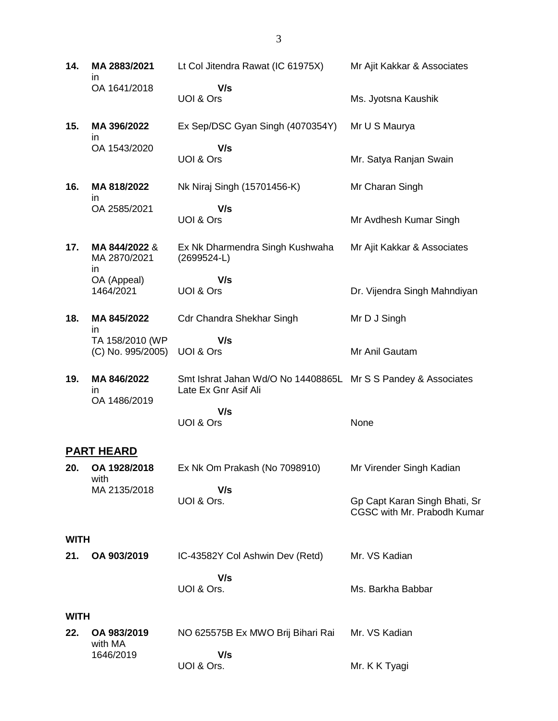**14. MA 2883/2021** in OA 1641/2018 Lt Col Jitendra Rawat (IC 61975X)  **V/s** UOI & Ors Mr Ajit Kakkar & Associates Ms. Jyotsna Kaushik **15. MA 396/2022** in OA 1543/2020 Ex Sep/DSC Gyan Singh (4070354Y)  **V/s** UOI & Ors Mr U S Maurya Mr. Satya Ranjan Swain **16. MA 818/2022** in OA 2585/2021 Nk Niraj Singh (15701456-K)  **V/s** UOI & Ors Mr Charan Singh Mr Avdhesh Kumar Singh **17. MA 844/2022** & MA 2870/2021 in OA (Appeal) 1464/2021 Ex Nk Dharmendra Singh Kushwaha (2699524-L)  **V/s** UOI & Ors Mr Ajit Kakkar & Associates Dr. Vijendra Singh Mahndiyan **18. MA 845/2022** in TA 158/2010 (WP (C) No. 995/2005) Cdr Chandra Shekhar Singh  **V/s** UOI & Ors Mr D J Singh Mr Anil Gautam **19. MA 846/2022** in OA 1486/2019 Smt Ishrat Jahan Wd/O No 14408865L Mr S S Pandey & Associates Late Ex Gnr Asif Ali  **V/s** UOI & Ors None **PART HEARD 20. OA 1928/2018** with MA 2135/2018 Ex Nk Om Prakash (No 7098910)  **V/s** UOI & Ors. Mr Virender Singh Kadian Gp Capt Karan Singh Bhati, Sr CGSC with Mr. Prabodh Kumar **WITH 21. OA 903/2019** IC-43582Y Col Ashwin Dev (Retd)  **V/s** UOI & Ors. Mr. VS Kadian Ms. Barkha Babbar

#### **WITH**

| 22. OA 983/2019<br>with MA | NO 625575B Ex MWO Brij Bihari Rai | Mr. VS Kadian |  |
|----------------------------|-----------------------------------|---------------|--|
| 1646/2019                  | V/s                               |               |  |
|                            | UOI & Ors.                        | Mr. K K Tyagi |  |

3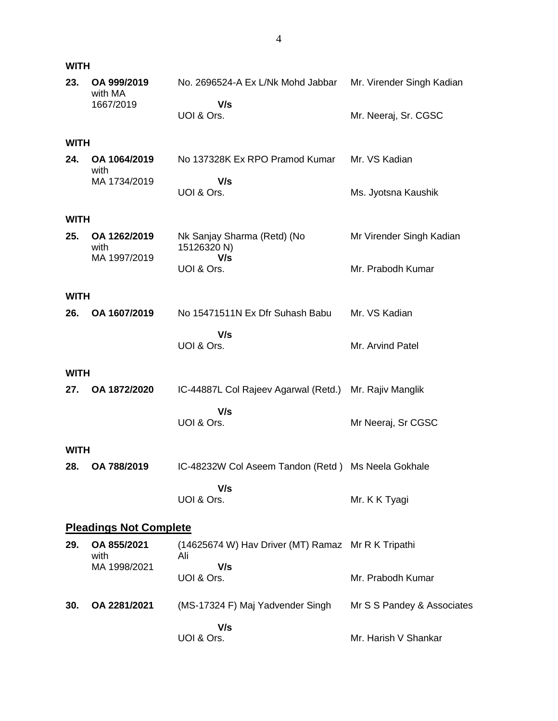| <b>WITH</b>                   |                        |                                                           |                            |  |
|-------------------------------|------------------------|-----------------------------------------------------------|----------------------------|--|
| 23.                           | OA 999/2019<br>with MA | No. 2696524-A Ex L/Nk Mohd Jabbar                         | Mr. Virender Singh Kadian  |  |
|                               | 1667/2019              | V/s<br>UOI & Ors.                                         | Mr. Neeraj, Sr. CGSC       |  |
| <b>WITH</b>                   |                        |                                                           |                            |  |
| 24.                           | OA 1064/2019<br>with   | No 137328K Ex RPO Pramod Kumar                            | Mr. VS Kadian              |  |
|                               | MA 1734/2019           | V/s<br>UOI & Ors.                                         | Ms. Jyotsna Kaushik        |  |
| <b>WITH</b>                   |                        |                                                           |                            |  |
| 25.                           | OA 1262/2019<br>with   | Nk Sanjay Sharma (Retd) (No<br>15126320 N)                | Mr Virender Singh Kadian   |  |
|                               | MA 1997/2019           | V/s<br>UOI & Ors.                                         | Mr. Prabodh Kumar          |  |
| <b>WITH</b>                   |                        |                                                           |                            |  |
| 26.                           | OA 1607/2019           | No 15471511N Ex Dfr Suhash Babu                           | Mr. VS Kadian              |  |
|                               |                        | V/s<br>UOI & Ors.                                         | Mr. Arvind Patel           |  |
| <b>WITH</b>                   |                        |                                                           |                            |  |
| 27.                           | OA 1872/2020           | IC-44887L Col Rajeev Agarwal (Retd.)                      | Mr. Rajiv Manglik          |  |
|                               |                        | V/s<br>UOI & Ors.                                         | Mr Neeraj, Sr CGSC         |  |
| <b>WITH</b>                   |                        |                                                           |                            |  |
| 28.                           | OA 788/2019            | IC-48232W Col Aseem Tandon (Retd) Ms Neela Gokhale        |                            |  |
|                               |                        | V/s<br>UOI & Ors.                                         | Mr. K K Tyagi              |  |
| <b>Pleadings Not Complete</b> |                        |                                                           |                            |  |
| 29.                           | OA 855/2021<br>with    | (14625674 W) Hav Driver (MT) Ramaz Mr R K Tripathi<br>Ali |                            |  |
|                               | MA 1998/2021           | V/s<br>UOI & Ors.                                         | Mr. Prabodh Kumar          |  |
| 30.                           | OA 2281/2021           | (MS-17324 F) Maj Yadvender Singh                          | Mr S S Pandey & Associates |  |
|                               |                        | V/s<br>UOI & Ors.                                         | Mr. Harish V Shankar       |  |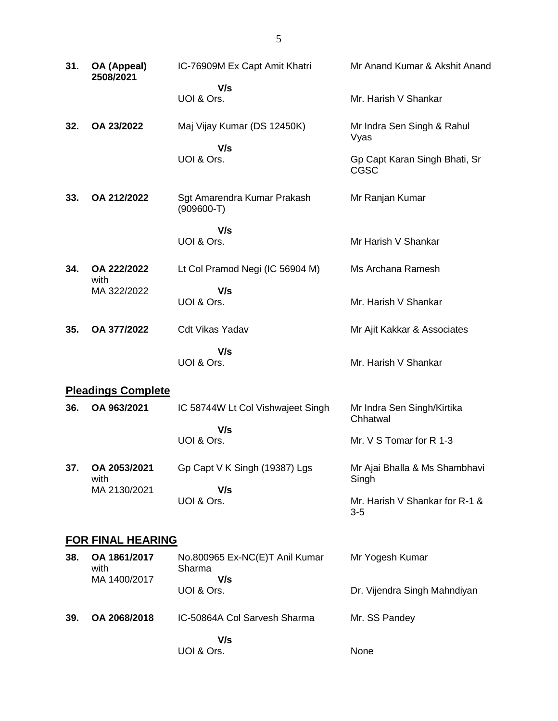| 31. | OA (Appeal)<br>2508/2021  | IC-76909M Ex Capt Amit Khatri               | Mr Anand Kumar & Akshit Anand                |  |
|-----|---------------------------|---------------------------------------------|----------------------------------------------|--|
|     |                           | V/s<br>UOI & Ors.                           | Mr. Harish V Shankar                         |  |
| 32. | OA 23/2022                | Maj Vijay Kumar (DS 12450K)                 | Mr Indra Sen Singh & Rahul<br>Vyas           |  |
|     |                           | V/s<br>UOI & Ors.                           | Gp Capt Karan Singh Bhati, Sr<br><b>CGSC</b> |  |
| 33. | OA 212/2022               | Sgt Amarendra Kumar Prakash<br>$(909600-T)$ | Mr Ranjan Kumar                              |  |
|     |                           | V/s<br>UOI & Ors.                           | Mr Harish V Shankar                          |  |
| 34. | OA 222/2022<br>with       | Lt Col Pramod Negi (IC 56904 M)             | Ms Archana Ramesh                            |  |
|     | MA 322/2022               | V/s<br>UOI & Ors.                           | Mr. Harish V Shankar                         |  |
| 35. | OA 377/2022               | <b>Cdt Vikas Yadav</b>                      | Mr Ajit Kakkar & Associates                  |  |
|     |                           | V/s<br>UOI & Ors.                           | Mr. Harish V Shankar                         |  |
|     | <b>Pleadings Complete</b> |                                             |                                              |  |
| 36. | OA 963/2021               | IC 58744W Lt Col Vishwajeet Singh           | Mr Indra Sen Singh/Kirtika<br>Chhatwal       |  |
|     |                           | V/s<br>UOI & Ors.                           | Mr. V S Tomar for R 1-3                      |  |
| 37. | OA 2053/2021<br>with      | Gp Capt V K Singh (19387) Lgs               | Mr Ajai Bhalla & Ms Shambhavi<br>Singh       |  |
|     | MA 2130/2021              | V/s<br>UOI & Ors.                           | Mr. Harish V Shankar for R-1 &<br>$3-5$      |  |
|     | <b>FOR FINAL HEARING</b>  |                                             |                                              |  |
| 38. | OA 1861/2017<br>with      | No.800965 Ex-NC(E)T Anil Kumar<br>Sharma    | Mr Yogesh Kumar                              |  |
|     | MA 1400/2017              | V/s<br>UOI & Ors.                           | Dr. Vijendra Singh Mahndiyan                 |  |
| 39. | OA 2068/2018              | IC-50864A Col Sarvesh Sharma                | Mr. SS Pandey                                |  |
|     |                           | V/s<br>UOI & Ors.                           | None                                         |  |